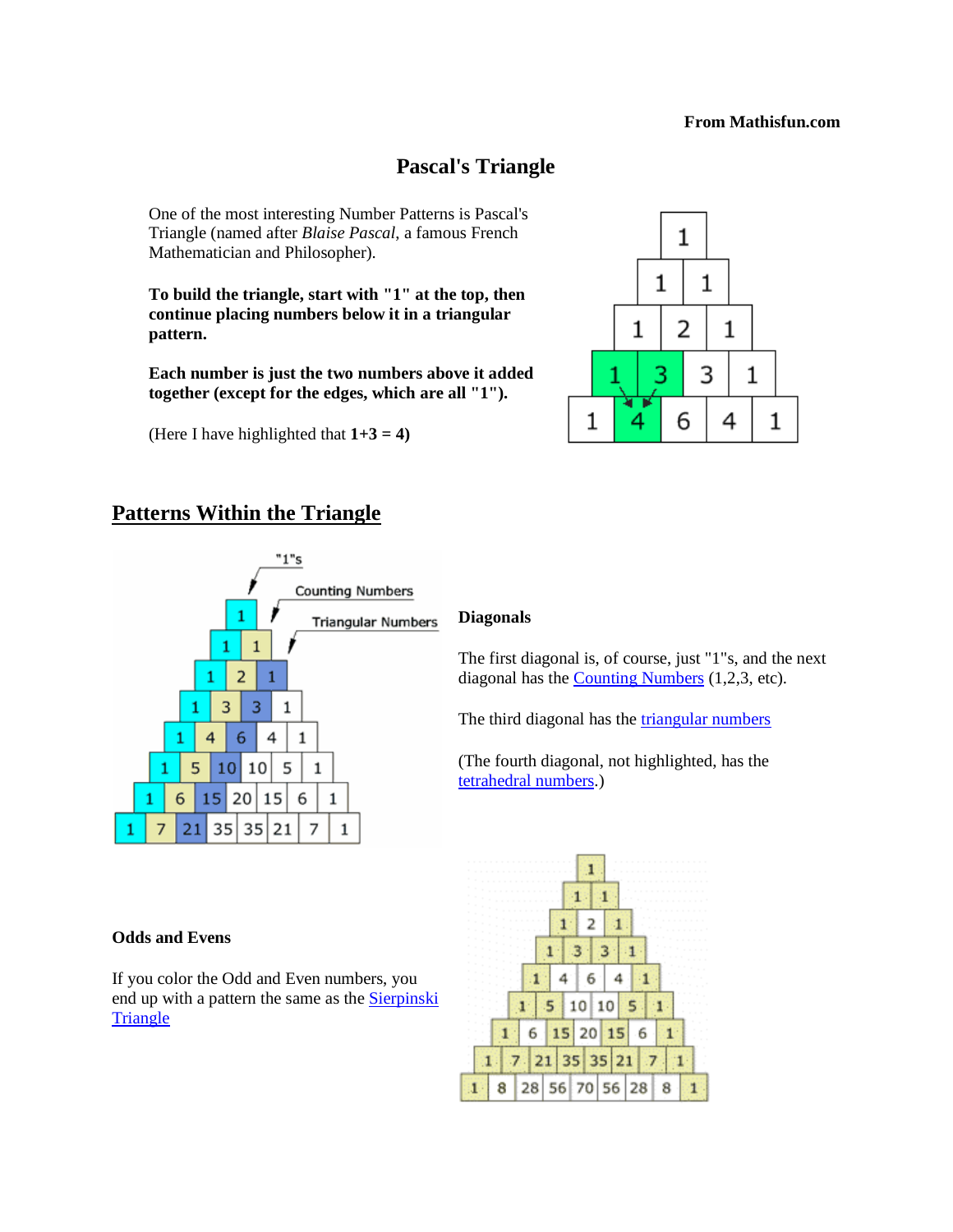#### **From Mathisfun.com**

## **Pascal's Triangle**

One of the most interesting Number Patterns is Pascal's Triangle (named after *Blaise Pascal*, a famous French Mathematician and Philosopher).

**To build the triangle, start with "1" at the top, then continue placing numbers below it in a triangular pattern.** 

**Each number is just the two numbers above it added together (except for the edges, which are all "1").**

(Here I have highlighted that  $1+3 = 4$ )

#### 1  $\mathbf{1}$  $\mathbf{1}$ 2  $\mathbf{1}$ 1 3 3 1 6 4 1 4 1

## **Patterns Within the Triangle**



## **Diagonals**

The first diagonal is, of course, just "1"s, and the next diagonal has the [Counting Numbers](http://www.mathsisfun.com/whole-numbers.html) (1,2,3, etc).

The third diagonal has the [triangular numbers](http://www.mathsisfun.com/algebra/triangular-numbers.html)

(The fourth diagonal, not highlighted, has the [tetrahedral numbers.](http://www.mathsisfun.com/tetrahedral-number.html))



#### **Odds and Evens**

If you color the Odd and Even numbers, you end up with a pattern the same as the **Sierpinski [Triangle](http://www.mathsisfun.com/sierpinski-triangle.html)**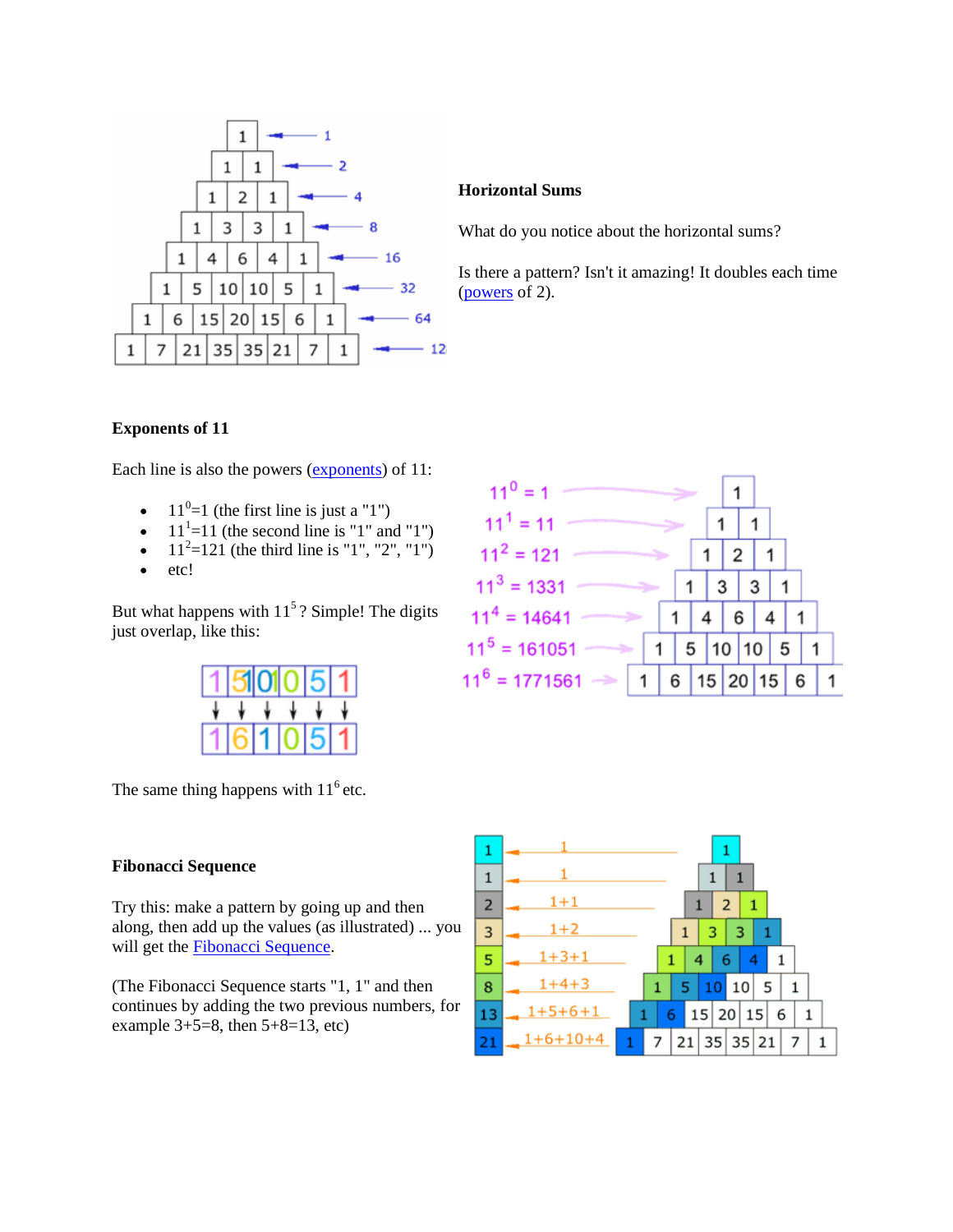

#### **Horizontal Sums**

What do you notice about the horizontal sums?

Is there a pattern? Isn't it amazing! It doubles each time [\(powers](http://www.mathsisfun.com/exponent.html) of 2).

### **Exponents of 11**

Each line is also the powers [\(exponents\)](http://www.mathsisfun.com/exponent.html) of 11:

- $11^0=1$  (the first line is just a "1")
- $\bullet$  11<sup>1</sup>=11 (the second line is "1" and "1")
- $11^2=121$  (the third line is "1", "2", "1")
- etc!

But what happens with  $11<sup>5</sup>$ ? Simple! The digits just overlap, like this:



The same thing happens with  $11<sup>6</sup>$  etc.

### **Fibonacci Sequence**

Try this: make a pattern by going up and then along, then add up the values (as illustrated) ... you will get the [Fibonacci Sequence.](http://www.mathsisfun.com/numbers/fibonacci-sequence.html)

(The Fibonacci Sequence starts "1, 1" and then continues by adding the two previous numbers, for example  $3+5=8$ , then  $5+8=13$ , etc)



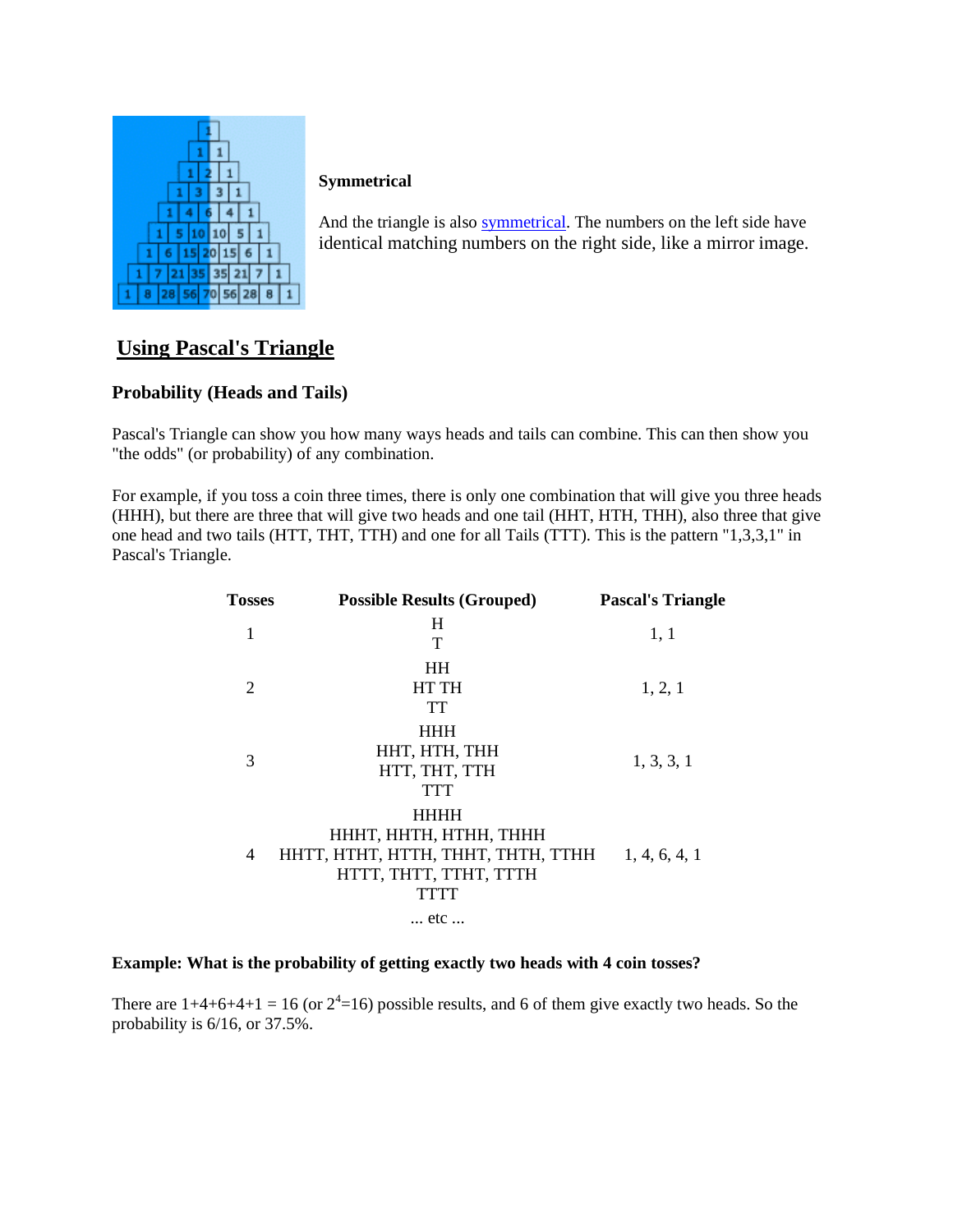

### **Symmetrical**

And the triangle is also [symmetrical.](http://www.mathsisfun.com/geometry/symmetry.html) The numbers on the left side have identical matching numbers on the right side, like a mirror image.

# **Using Pascal's Triangle**

### **Probability (Heads and Tails)**

Pascal's Triangle can show you how many ways heads and tails can combine. This can then show you "the odds" (or probability) of any combination.

For example, if you toss a coin three times, there is only one combination that will give you three heads (HHH), but there are three that will give two heads and one tail (HHT, HTH, THH), also three that give one head and two tails (HTT, THT, TTH) and one for all Tails (TTT). This is the pattern "1,3,3,1" in Pascal's Triangle.

| <b>Tosses</b> | <b>Possible Results (Grouped)</b>                                                                                    | <b>Pascal's Triangle</b> |
|---------------|----------------------------------------------------------------------------------------------------------------------|--------------------------|
| 1             | H<br>Т                                                                                                               | 1, 1                     |
| 2             | <b>HH</b><br><b>HT TH</b><br>TT                                                                                      | 1, 2, 1                  |
| 3             | <b>HHH</b><br>HHT, HTH, THH<br>HTT, THT, TTH<br>TTT                                                                  | 1, 3, 3, 1               |
| 4             | <b>HHHH</b><br>HHHT, HHTH, HTHH, THHH<br>HHTT, HTHT, HTTH, THHT, THTH, TTHH<br>HTTT, THTT, TTHT, TTTH<br><b>TTTT</b> | 1, 4, 6, 4, 1            |
|               | etc                                                                                                                  |                          |

#### **Example: What is the probability of getting exactly two heads with 4 coin tosses?**

There are  $1+4+6+4+1 = 16$  (or  $2^4=16$ ) possible results, and 6 of them give exactly two heads. So the probability is 6/16, or 37.5%.